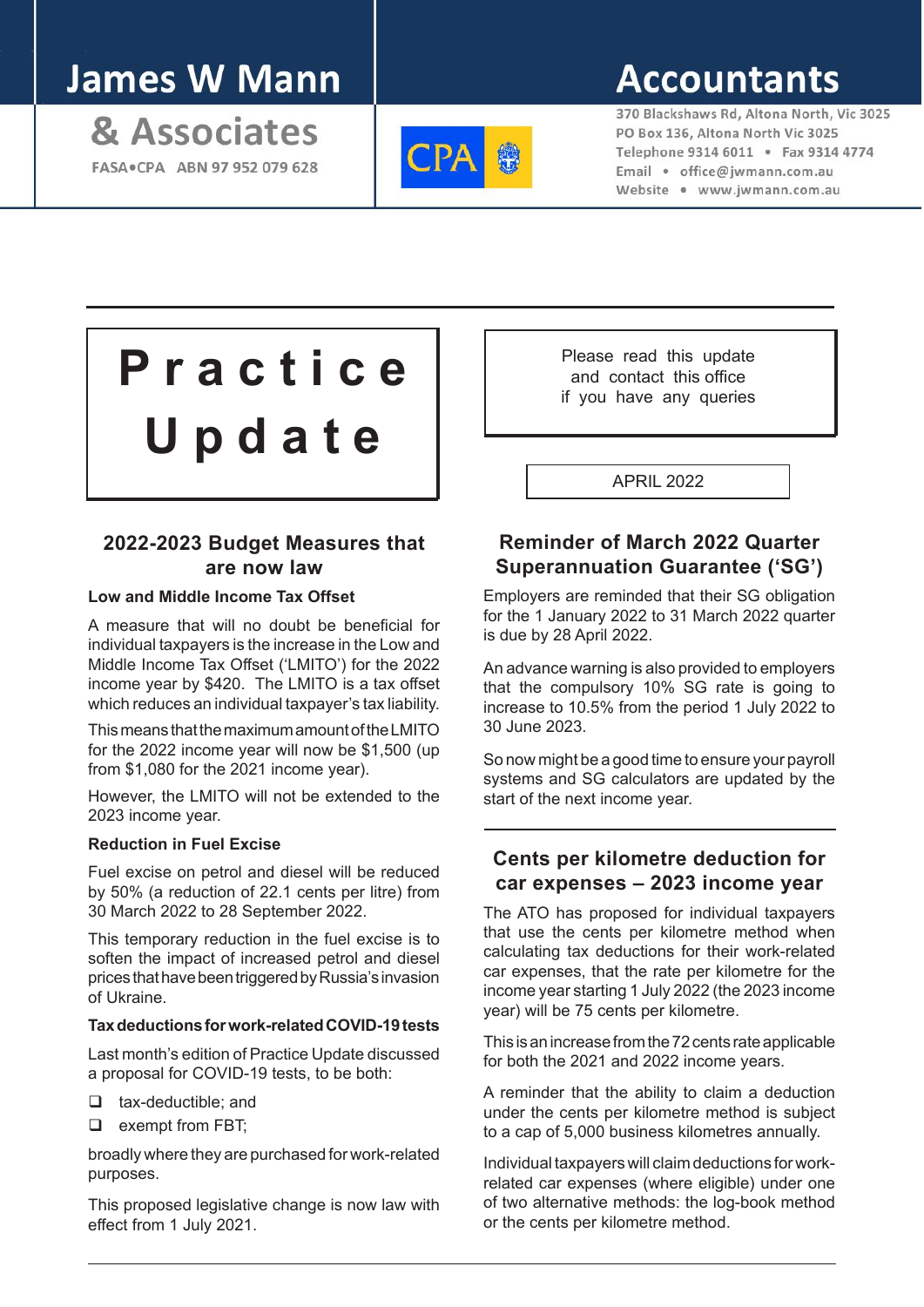## **James W Mann**

& Associates FASA . CPA ABN 97 952 079 628



# **Accountants**

370 Blackshaws Rd, Altona North, Vic 3025 PO Box 136, Altona North Vic 3025 Telephone 9314 6011 . Fax 9314 4774 Email · office@iwmann.com.au Website . www.jwmann.com.au

**P r a c t i c e U p d a t e**

## **2022-2023 Budget Measures that are now law**

#### **Low and Middle Income Tax Offset**

A measure that will no doubt be beneficial for individual taxpayers is the increase in the Low and Middle Income Tax Offset ('LMITO') for the 2022 income year by \$420. The LMITO is a tax offset which reduces an individual taxpayer's tax liability.

This means that the maximum amount of the LMITO for the 2022 income year will now be \$1,500 (up from \$1,080 for the 2021 income year).

However, the LMITO will not be extended to the 2023 income year.

#### **Reduction in Fuel Excise**

Fuel excise on petrol and diesel will be reduced by 50% (a reduction of 22.1 cents per litre) from 30 March 2022 to 28 September 2022.

This temporary reduction in the fuel excise is to soften the impact of increased petrol and diesel prices that have been triggered by Russia's invasion of Ukraine.

#### **Tax deductions for work-related COVID-19 tests**

Last month's edition of Practice Update discussed a proposal for COVID-19 tests, to be both:

- $\Box$  tax-deductible; and
- $\Box$  exempt from FBT;

broadly where they are purchased for work-related purposes.

This proposed legislative change is now law with effect from 1 July 2021.

Please read this update and contact this office if you have any queries

APRIL 2022

#### **Reminder of March 2022 Quarter Superannuation Guarantee ('SG')**

Employers are reminded that their SG obligation for the 1 January 2022 to 31 March 2022 quarter is due by 28 April 2022.

An advance warning is also provided to employers that the compulsory 10% SG rate is going to increase to 10.5% from the period 1 July 2022 to 30 June 2023.

So now might be a good time to ensure your payroll systems and SG calculators are updated by the start of the next income year.

### **Cents per kilometre deduction for car expenses – 2023 income year**

The ATO has proposed for individual taxpayers that use the cents per kilometre method when calculating tax deductions for their work-related car expenses, that the rate per kilometre for the income year starting 1 July 2022 (the 2023 income year) will be 75 cents per kilometre.

This is an increase from the 72 cents rate applicable for both the 2021 and 2022 income years.

A reminder that the ability to claim a deduction under the cents per kilometre method is subject to a cap of 5,000 business kilometres annually.

Individual taxpayers will claim deductions for workrelated car expenses (where eligible) under one of two alternative methods: the log-book method or the cents per kilometre method.